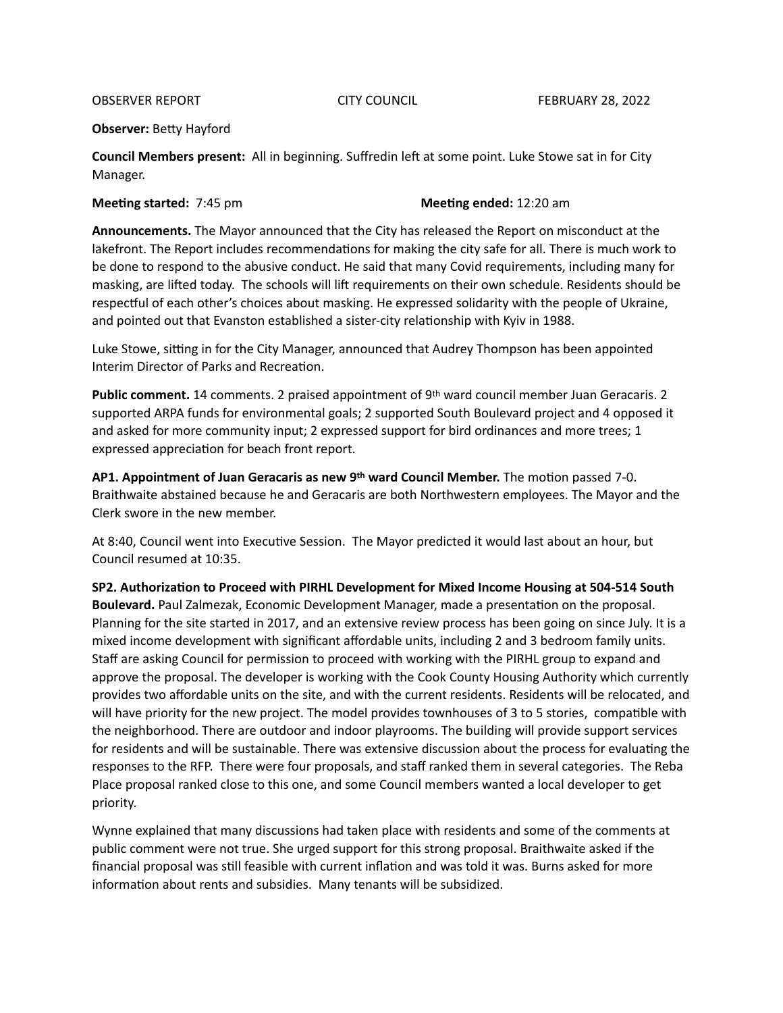## **Observer: Betty Hayford**

**Council Members present:** All in beginning. Suffredin left at some point. Luke Stowe sat in for City Manager. 

**Meeting started:** 7:45 pm **Meeting ended:** 12:20 am

Announcements. The Mayor announced that the City has released the Report on misconduct at the lakefront. The Report includes recommendations for making the city safe for all. There is much work to be done to respond to the abusive conduct. He said that many Covid requirements, including many for masking, are lifted today. The schools will lift requirements on their own schedule. Residents should be respectful of each other's choices about masking. He expressed solidarity with the people of Ukraine, and pointed out that Evanston established a sister-city relationship with Kyiv in 1988.

Luke Stowe, sitting in for the City Manager, announced that Audrey Thompson has been appointed Interim Director of Parks and Recreation.

**Public comment.** 14 comments. 2 praised appointment of 9th ward council member Juan Geracaris. 2 supported ARPA funds for environmental goals; 2 supported South Boulevard project and 4 opposed it and asked for more community input; 2 expressed support for bird ordinances and more trees; 1 expressed appreciation for beach front report.

AP1. Appointment of Juan Geracaris as new 9th ward Council Member. The motion passed 7-0. Braithwaite abstained because he and Geracaris are both Northwestern employees. The Mayor and the Clerk swore in the new member.

At 8:40, Council went into Executive Session. The Mayor predicted it would last about an hour, but Council resumed at 10:35.

**SP2. Authorization to Proceed with PIRHL Development for Mixed Income Housing at 504-514 South Boulevard.** Paul Zalmezak, Economic Development Manager, made a presentation on the proposal. Planning for the site started in 2017, and an extensive review process has been going on since July. It is a mixed income development with significant affordable units, including 2 and 3 bedroom family units. Staff are asking Council for permission to proceed with working with the PIRHL group to expand and approve the proposal. The developer is working with the Cook County Housing Authority which currently provides two affordable units on the site, and with the current residents. Residents will be relocated, and will have priority for the new project. The model provides townhouses of 3 to 5 stories, compatible with the neighborhood. There are outdoor and indoor playrooms. The building will provide support services for residents and will be sustainable. There was extensive discussion about the process for evaluating the responses to the RFP. There were four proposals, and staff ranked them in several categories. The Reba Place proposal ranked close to this one, and some Council members wanted a local developer to get priority. 

Wynne explained that many discussions had taken place with residents and some of the comments at public comment were not true. She urged support for this strong proposal. Braithwaite asked if the financial proposal was still feasible with current inflation and was told it was. Burns asked for more information about rents and subsidies. Many tenants will be subsidized.